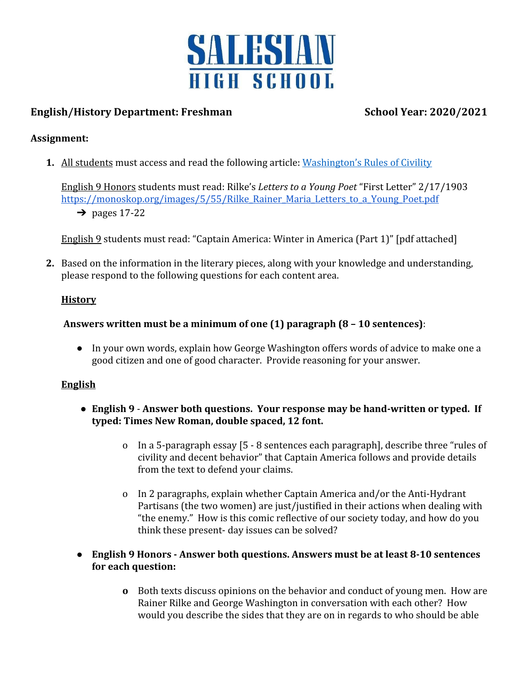

# **English/History Department: Freshman School Year: 2020/2021**

# **Assignment:**

**1.** All students must access and read the following article: [Washington's Rules of Civility](https://managers.usc.edu/files/2015/05/George-Washingtons-Rules.pdf)

English 9 Honors students must read: Rilke's *Letters to a Young Poet* "First Letter" 2/17/1903 https://monoskop.org/images/5/55/Rilke Rainer Maria Letters to a Young Poet.pdf  $\rightarrow$  pages 17-22

English 9 students must read: "Captain America: Winter in America (Part 1)" [pdf attached]

**2.** Based on the information in the literary pieces, along with your knowledge and understanding, please respond to the following questions for each content area.

### **History**

# **Answers written must be a minimum of one (1) paragraph (8 – 10 sentences)**:

● In your own words, explain how George Washington offers words of advice to make one a good citizen and one of good character. Provide reasoning for your answer.

### **English**

- **English 9 Answer both questions. Your response may be hand-written or typed. If typed: Times New Roman, double spaced, 12 font.**
	- o In a 5-paragraph essay [5 8 sentences each paragraph], describe three "rules of civility and decent behavior" that Captain America follows and provide details from the text to defend your claims.
	- o In 2 paragraphs, explain whether Captain America and/or the Anti-Hydrant Partisans (the two women) are just/justified in their actions when dealing with "the enemy." How is this comic reflective of our society today, and how do you think these present- day issues can be solved?

# **● English 9 Honors - Answer both questions. Answers must be at least 8-10 sentences for each question:**

**o** Both texts discuss opinions on the behavior and conduct of young men. How are Rainer Rilke and George Washington in conversation with each other? How would you describe the sides that they are on in regards to who should be able